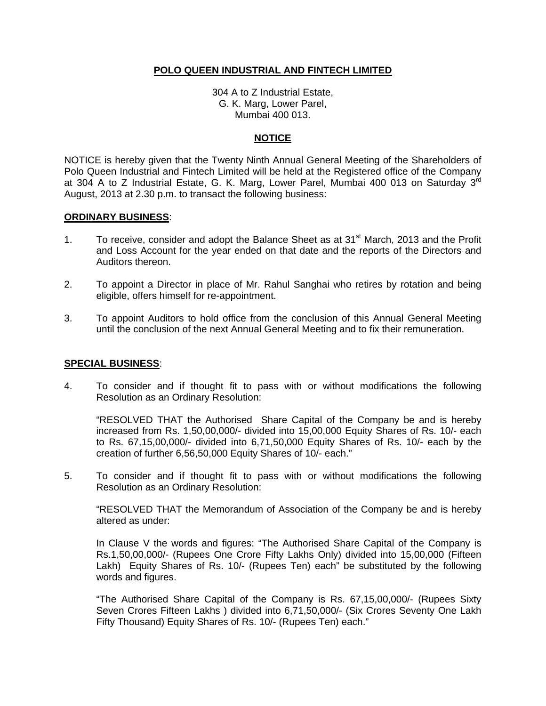### **POLO QUEEN INDUSTRIAL AND FINTECH LIMITED**

304 A to Z Industrial Estate, G. K. Marg, Lower Parel, Mumbai 400 013.

## **NOTICE**

NOTICE is hereby given that the Twenty Ninth Annual General Meeting of the Shareholders of Polo Queen Industrial and Fintech Limited will be held at the Registered office of the Company at 304 A to Z Industrial Estate, G. K. Marg, Lower Parel, Mumbai 400 013 on Saturday 3rd August, 2013 at 2.30 p.m. to transact the following business:

#### **ORDINARY BUSINESS**:

- 1. To receive, consider and adopt the Balance Sheet as at 31<sup>st</sup> March, 2013 and the Profit and Loss Account for the year ended on that date and the reports of the Directors and Auditors thereon.
- 2. To appoint a Director in place of Mr. Rahul Sanghai who retires by rotation and being eligible, offers himself for re-appointment.
- 3. To appoint Auditors to hold office from the conclusion of this Annual General Meeting until the conclusion of the next Annual General Meeting and to fix their remuneration.

#### **SPECIAL BUSINESS**:

4. To consider and if thought fit to pass with or without modifications the following Resolution as an Ordinary Resolution:

"RESOLVED THAT the Authorised Share Capital of the Company be and is hereby increased from Rs. 1,50,00,000/- divided into 15,00,000 Equity Shares of Rs. 10/- each to Rs. 67,15,00,000/- divided into 6,71,50,000 Equity Shares of Rs. 10/- each by the creation of further 6,56,50,000 Equity Shares of 10/- each."

5. To consider and if thought fit to pass with or without modifications the following Resolution as an Ordinary Resolution:

"RESOLVED THAT the Memorandum of Association of the Company be and is hereby altered as under:

In Clause V the words and figures: "The Authorised Share Capital of the Company is Rs.1,50,00,000/- (Rupees One Crore Fifty Lakhs Only) divided into 15,00,000 (Fifteen Lakh) Equity Shares of Rs. 10/- (Rupees Ten) each" be substituted by the following words and figures.

"The Authorised Share Capital of the Company is Rs. 67,15,00,000/- (Rupees Sixty Seven Crores Fifteen Lakhs ) divided into 6,71,50,000/- (Six Crores Seventy One Lakh Fifty Thousand) Equity Shares of Rs. 10/- (Rupees Ten) each."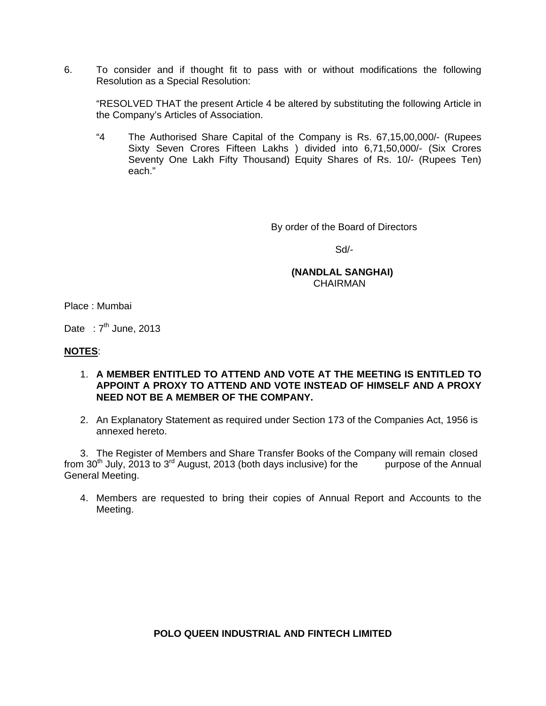6. To consider and if thought fit to pass with or without modifications the following Resolution as a Special Resolution:

"RESOLVED THAT the present Article 4 be altered by substituting the following Article in the Company's Articles of Association.

"4 The Authorised Share Capital of the Company is Rs. 67,15,00,000/- (Rupees Sixty Seven Crores Fifteen Lakhs ) divided into 6,71,50,000/- (Six Crores Seventy One Lakh Fifty Thousand) Equity Shares of Rs. 10/- (Rupees Ten) each."

By order of the Board of Directors

Sd/-

#### **(NANDLAL SANGHAI)**  CHAIRMAN

Place : Mumbai

Date :  $7<sup>th</sup>$  June, 2013

#### **NOTES**:

- 1. **A MEMBER ENTITLED TO ATTEND AND VOTE AT THE MEETING IS ENTITLED TO APPOINT A PROXY TO ATTEND AND VOTE INSTEAD OF HIMSELF AND A PROXY NEED NOT BE A MEMBER OF THE COMPANY.**
- 2. An Explanatory Statement as required under Section 173 of the Companies Act, 1956 is annexed hereto.

3. The Register of Members and Share Transfer Books of the Company will remain closed from  $30<sup>th</sup>$  July, 2013 to  $3<sup>rd</sup>$  August, 2013 (both days inclusive) for the purpose of the Annual General Meeting.

4. Members are requested to bring their copies of Annual Report and Accounts to the Meeting.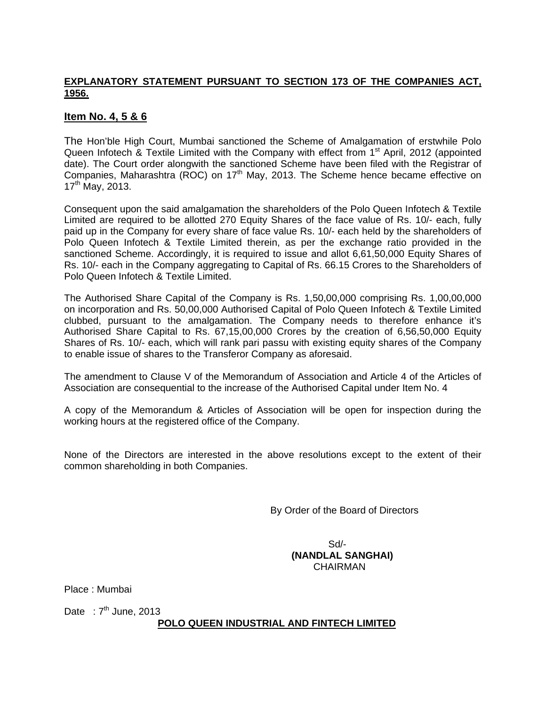## **EXPLANATORY STATEMENT PURSUANT TO SECTION 173 OF THE COMPANIES ACT, 1956.**

# **Item No. 4, 5 & 6**

The Hon'ble High Court, Mumbai sanctioned the Scheme of Amalgamation of erstwhile Polo Queen Infotech & Textile Limited with the Company with effect from  $1<sup>st</sup>$  April, 2012 (appointed date). The Court order alongwith the sanctioned Scheme have been filed with the Registrar of Companies, Maharashtra (ROC) on 17<sup>th</sup> May, 2013. The Scheme hence became effective on 17<sup>th</sup> May, 2013.

Consequent upon the said amalgamation the shareholders of the Polo Queen Infotech & Textile Limited are required to be allotted 270 Equity Shares of the face value of Rs. 10/- each, fully paid up in the Company for every share of face value Rs. 10/- each held by the shareholders of Polo Queen Infotech & Textile Limited therein, as per the exchange ratio provided in the sanctioned Scheme. Accordingly, it is required to issue and allot 6,61,50,000 Equity Shares of Rs. 10/- each in the Company aggregating to Capital of Rs. 66.15 Crores to the Shareholders of Polo Queen Infotech & Textile Limited.

The Authorised Share Capital of the Company is Rs. 1,50,00,000 comprising Rs. 1,00,00,000 on incorporation and Rs. 50,00,000 Authorised Capital of Polo Queen Infotech & Textile Limited clubbed, pursuant to the amalgamation. The Company needs to therefore enhance it's Authorised Share Capital to Rs. 67,15,00,000 Crores by the creation of 6,56,50,000 Equity Shares of Rs. 10/- each, which will rank pari passu with existing equity shares of the Company to enable issue of shares to the Transferor Company as aforesaid.

The amendment to Clause V of the Memorandum of Association and Article 4 of the Articles of Association are consequential to the increase of the Authorised Capital under Item No. 4

A copy of the Memorandum & Articles of Association will be open for inspection during the working hours at the registered office of the Company.

None of the Directors are interested in the above resolutions except to the extent of their common shareholding in both Companies.

By Order of the Board of Directors

 Sd/- **(NANDLAL SANGHAI) CHAIRMAN** 

Place : Mumbai

Date :  $7<sup>th</sup>$  June, 2013

## **POLO QUEEN INDUSTRIAL AND FINTECH LIMITED**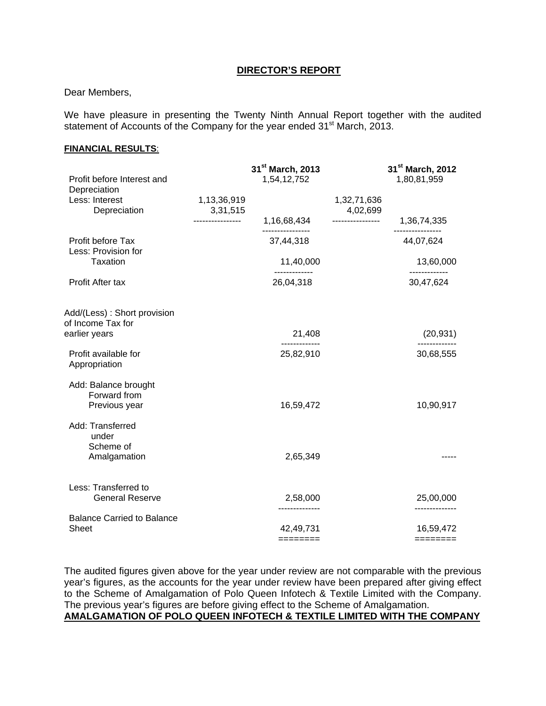#### **DIRECTOR'S REPORT**

#### Dear Members,

We have pleasure in presenting the Twenty Ninth Annual Report together with the audited statement of Accounts of the Company for the year ended 31<sup>st</sup> March, 2013.

#### **FINANCIAL RESULTS**:

| Profit before Interest and<br>Depreciation            |                         | 31 <sup>st</sup> March, 2013<br>1,54,12,752 |                         | 31 <sup>st</sup> March, 2012<br>1,80,81,959 |
|-------------------------------------------------------|-------------------------|---------------------------------------------|-------------------------|---------------------------------------------|
| Less: Interest<br>Depreciation                        | 1,13,36,919<br>3,31,515 |                                             | 1,32,71,636<br>4,02,699 |                                             |
|                                                       | ---------------         | 1,16,68,434                                 | ----------------        | 1,36,74,335                                 |
| Profit before Tax<br>Less: Provision for              |                         | 37,44,318                                   |                         | 44,07,624                                   |
| <b>Taxation</b>                                       |                         | 11,40,000                                   |                         | 13,60,000                                   |
| Profit After tax                                      |                         | 26,04,318                                   |                         | 30,47,624                                   |
| Add/(Less): Short provision<br>of Income Tax for      |                         |                                             |                         |                                             |
| earlier years                                         |                         | 21,408                                      |                         | (20, 931)                                   |
| Profit available for<br>Appropriation                 |                         | 25,82,910                                   |                         | 30,68,555                                   |
| Add: Balance brought<br>Forward from<br>Previous year |                         | 16,59,472                                   |                         | 10,90,917                                   |
| Add: Transferred                                      |                         |                                             |                         |                                             |
| under<br>Scheme of<br>Amalgamation                    |                         | 2,65,349                                    |                         |                                             |
| Less: Transferred to<br><b>General Reserve</b>        |                         | 2,58,000                                    |                         | 25,00,000                                   |
| <b>Balance Carried to Balance</b><br><b>Sheet</b>     |                         | 42,49,731<br>$=$ =======                    |                         | 16,59,472<br>========                       |
|                                                       |                         |                                             |                         |                                             |

The audited figures given above for the year under review are not comparable with the previous year's figures, as the accounts for the year under review have been prepared after giving effect to the Scheme of Amalgamation of Polo Queen Infotech & Textile Limited with the Company. The previous year's figures are before giving effect to the Scheme of Amalgamation. **AMALGAMATION OF POLO QUEEN INFOTECH & TEXTILE LIMITED WITH THE COMPANY**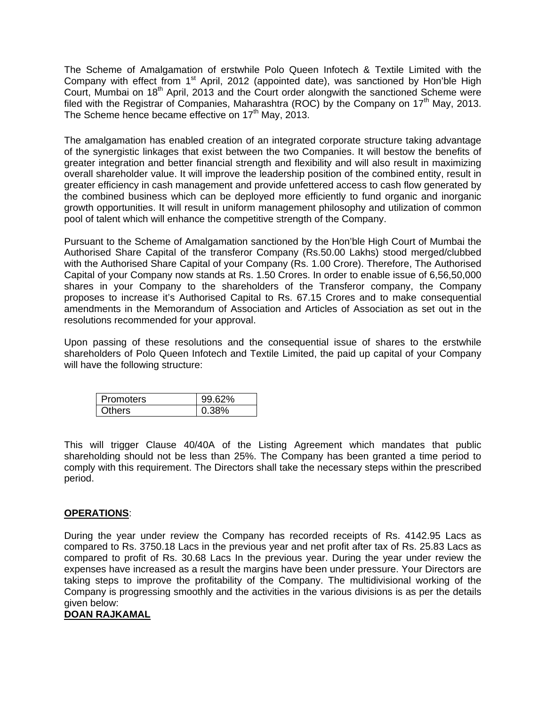The Scheme of Amalgamation of erstwhile Polo Queen Infotech & Textile Limited with the Company with effect from 1<sup>st</sup> April, 2012 (appointed date), was sanctioned by Hon'ble High Court, Mumbai on 18<sup>th</sup> April, 2013 and the Court order alongwith the sanctioned Scheme were filed with the Registrar of Companies, Maharashtra (ROC) by the Company on  $17<sup>th</sup>$  May, 2013. The Scheme hence became effective on  $17<sup>th</sup>$  May, 2013.

The amalgamation has enabled creation of an integrated corporate structure taking advantage of the synergistic linkages that exist between the two Companies. It will bestow the benefits of greater integration and better financial strength and flexibility and will also result in maximizing overall shareholder value. It will improve the leadership position of the combined entity, result in greater efficiency in cash management and provide unfettered access to cash flow generated by the combined business which can be deployed more efficiently to fund organic and inorganic growth opportunities. It will result in uniform management philosophy and utilization of common pool of talent which will enhance the competitive strength of the Company.

Pursuant to the Scheme of Amalgamation sanctioned by the Hon'ble High Court of Mumbai the Authorised Share Capital of the transferor Company (Rs.50.00 Lakhs) stood merged/clubbed with the Authorised Share Capital of your Company (Rs. 1.00 Crore). Therefore, The Authorised Capital of your Company now stands at Rs. 1.50 Crores. In order to enable issue of 6,56,50,000 shares in your Company to the shareholders of the Transferor company, the Company proposes to increase it's Authorised Capital to Rs. 67.15 Crores and to make consequential amendments in the Memorandum of Association and Articles of Association as set out in the resolutions recommended for your approval.

Upon passing of these resolutions and the consequential issue of shares to the erstwhile shareholders of Polo Queen Infotech and Textile Limited, the paid up capital of your Company will have the following structure:

| Promoters | 62% |
|-----------|-----|
| )thers    | 38% |

This will trigger Clause 40/40A of the Listing Agreement which mandates that public shareholding should not be less than 25%. The Company has been granted a time period to comply with this requirement. The Directors shall take the necessary steps within the prescribed period.

### **OPERATIONS**:

During the year under review the Company has recorded receipts of Rs. 4142.95 Lacs as compared to Rs. 3750.18 Lacs in the previous year and net profit after tax of Rs. 25.83 Lacs as compared to profit of Rs. 30.68 Lacs In the previous year. During the year under review the expenses have increased as a result the margins have been under pressure. Your Directors are taking steps to improve the profitability of the Company. The multidivisional working of the Company is progressing smoothly and the activities in the various divisions is as per the details given below:

#### **DOAN RAJKAMAL**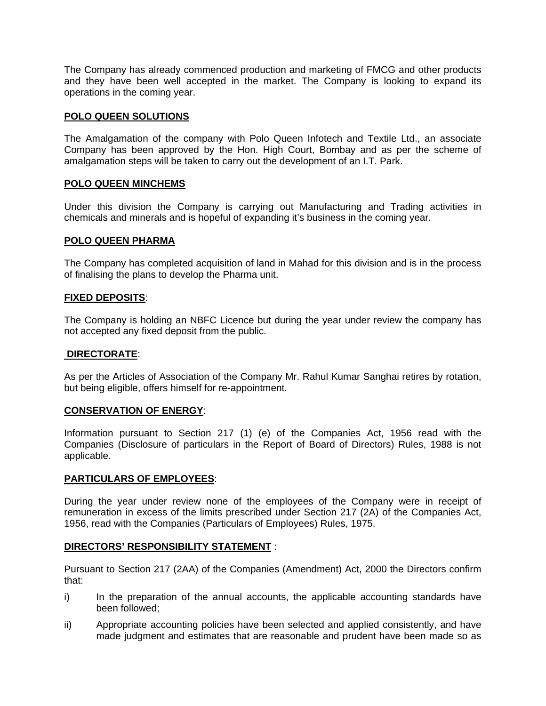The Company has already commenced production and marketing of FMCG and other products and they have been well accepted in the market. The Company is looking to expand its operations in the coming year.

#### **POLO QUEEN SOLUTIONS**

The Amalgamation of the company with Polo Queen Infotech and Textile Ltd., an associate Company has been approved by the Hon. High Court, Bombay and as per the scheme of amalgamation steps will be taken to carry out the development of an I.T. Park.

### **POLO QUEEN MINCHEMS**

Under this division the Company is carrying out Manufacturing and Trading activities in chemicals and minerals and is hopeful of expanding it's business in the coming year.

#### **POLO QUEEN PHARMA**

The Company has completed acquisition of land in Mahad for this division and is in the process of finalising the plans to develop the Pharma unit.

### **FIXED DEPOSITS**:

The Company is holding an NBFC Licence but during the year under review the company has not accepted any fixed deposit from the public.

#### **DIRECTORATE**:

As per the Articles of Association of the Company Mr. Rahul Kumar Sanghai retires by rotation, but being eligible, offers himself for re-appointment.

#### **CONSERVATION OF ENERGY**:

Information pursuant to Section 217 (1) (e) of the Companies Act, 1956 read with the Companies (Disclosure of particulars in the Report of Board of Directors) Rules, 1988 is not applicable.

#### **PARTICULARS OF EMPLOYEES**:

During the year under review none of the employees of the Company were in receipt of remuneration in excess of the limits prescribed under Section 217 (2A) of the Companies Act, 1956, read with the Companies (Particulars of Employees) Rules, 1975.

#### **DIRECTORS' RESPONSIBILITY STATEMENT** :

Pursuant to Section 217 (2AA) of the Companies (Amendment) Act, 2000 the Directors confirm that:

- i) In the preparation of the annual accounts, the applicable accounting standards have been followed;
- ii) Appropriate accounting policies have been selected and applied consistently, and have made judgment and estimates that are reasonable and prudent have been made so as